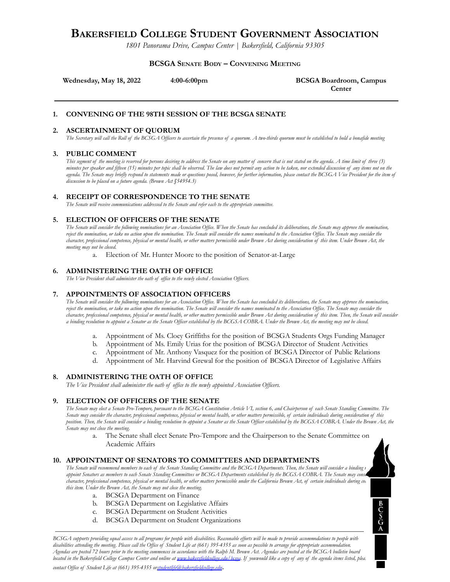# **BAKERSFIELD COLLEGE STUDENT GOVERNMENT ASSOCIATION**

*1801 Panorama Drive, Campus Center | Bakersfield, California 93305*

#### **BCSGA SENATE BODY – CONVENING MEETING**

**Wednesday, May 18, 2022 4:00-6:00pm. BCSGA Boardroom, Campus**

**Center**

 $rac{B}{S}$ <br> $rac{S}{A}$ 

# **1. CONVENING OF THE 98TH SESSION OF THE BCSGA SENATE**

#### **2. ASCERTAINMENT OF QUORUM**

The Secretary will call the Roll of the BCSGA Officers to ascertain the presence of a quorum. A two-thirds quorum must be established to hold a bonafide meeting

#### **3. PUBLIC COMMENT**

This segment of the meeting is reserved for persons desiring to address the Senate on any matter of concern that is not stated on the agenda. A time limit of three (3) minutes per speaker and fifteen (15) minutes per topic shall be observed. The law does not permit any action to be taken, nor extended discussion of any items not on the agenda. The Senate may briefly respond to statements made or questions posed, however, for further information, please contact the BCSGA Vice President for the item of *discussion to be placed on a future agenda. (Brown Act §54954.3)*

# **4. RECEIPT OF CORRESPONDENCE TO THE SENATE**

*The Senate will receive communications addressed to the Senate and refer each to the appropriate committee.*

#### **5. ELECTION OF OFFICERS OF THE SENATE**

The Senate will consider the following nominations for an Association Office. When the Senate has concluded its deliberations, the Senate may approve the nomination, reject the nomination, or take no action upon the nomination. The Senate will consider the names nominated to the Association Office. The Senate may consider the character, professional competence, physical or mental health, or other matters permissible under Brown Act during consideration of this item. Under Brown Act, the *meeting may not be closed.*

a. Election of Mr. Hunter Moore to the position of Senator-at-Large

#### **6. ADMINISTERING THE OATH OF OFFICE**

*The Vice President shall administer the oath of of ice to the newly elected Association Of icers.*

#### **7. APPOINTMENTS OF ASSOCIATION OFFICERS**

The Senate will consider the following nominations for an Association Office. When the Senate has concluded its deliberations, the Senate may approve the nomination, reject the nomination, or take no action upon the nomination. The Senate will consider the names nominated to the Association Office. The Senate may consider the character, professional competence, physical or mental health, or other matters permissible under Brown Act during consideration of this item. Then, the Senate will consider a binding resolution to appoint a Senator as the Senate Officer established by the BCGSA COBRA. Under the Brown Act, the meeting may not be closed.

- a. Appointment of Ms. Cloey Griffiths for the position of BCSGA Students Orgs Funding Manager
- b. Appointment of Ms. Emily Urias for the position of BCSGA Director of Student Activities
- c. Appointment of Mr. Anthony Vasquez for the position of BCSGA Director of Public Relations
- d. Appointment of Mr. Harvind Grewal for the position of BCSGA Director of Legislative Affairs

#### **8. ADMINISTERING THE OATH OF OFFICE**

*The Vice President shall administer the oath of office to the newly appointed Association Officers.*

#### **9. ELECTION OF OFFICERS OF THE SENATE**

The Senate may elect a Senate Pro-Tempore, pursuant to the BCSGA Constitution Article VI, section 6, and Chairperson of each Senate Standing Committee. The Senate may consider the character, professional competence, physical or mental health, or other matters permissible, of certain individuals during consideration of this position. Then, the Senate will consider a binding resolution to appoint a Senator as the Senate Officer established by the BCGSA COBRA. Under the Brown Act, the *Senate may not close the meeting.*

a. The Senate shall elect Senate Pro-Tempore and the Chairperson to the Senate Committee on Academic Affairs

#### **10. APPOINTMENT OF SENATORS TO COMMITTEES AND DEPARTMENTS**

The Senate will recommend members to each of the Senate Standing Committee and the BCSGA Departments. Then, the Senate will consider a binding t appoint Senators as members to each Senate Standing Committees or BCSGA Departments established by the BCGSA COBRA. The Senate may const character, professional competence, physical or mental health, or other matters permissible under the California Brown Act, of certain individuals during con *this item. Under the Brown Act, the Senate may not close the meeting.*

- a. BCSGA Department on Finance
- b. BCSGA Department on Legislative Affairs
- c. BCSGA Department on Student Activities
- d. BCSGA Department on Student Organizations

BCSGA supports providing equal access to all programs for people with disabilities. Reasonable efforts will be made to provide accommodations to people with disabilities attending the meeting. Please call the Office of Student Life at (661) 395-4355 as soon as possible to arrange for appropriate accommodation. Agendas are posted 72 hours prior to the meeting commences in accordance with the Ralph M. Brown Act. Agendas are posted at the BCSGA bulletin board located in the Bakersfield College Campus Center and online at <u>[www.bakersfieldcollege.edu/bcsga](http://www.bakersfieldcollege.edu/bcsga)</u>. If youwould like a copy of any of the agenda items listed, plea.